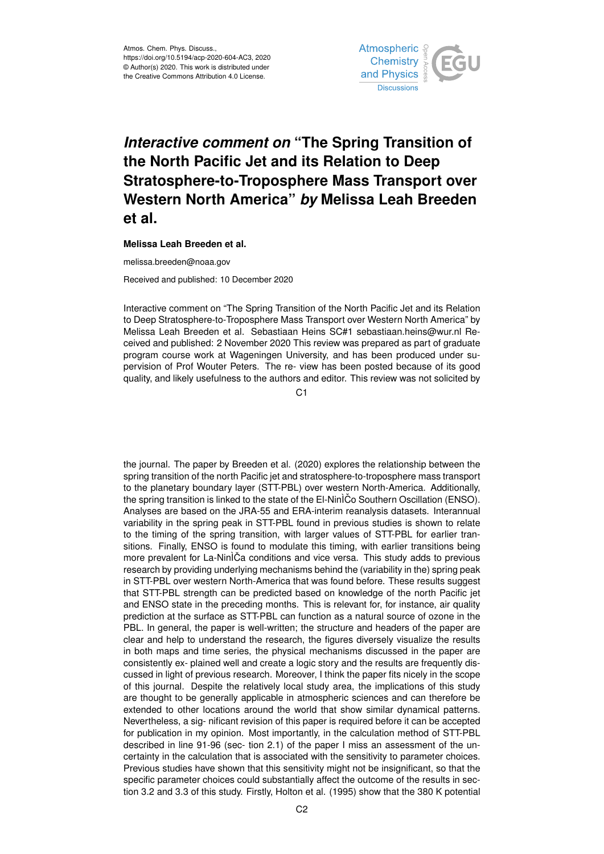

## *Interactive comment on* **"The Spring Transition of the North Pacific Jet and its Relation to Deep Stratosphere-to-Troposphere Mass Transport over Western North America"** *by* **Melissa Leah Breeden et al.**

**Melissa Leah Breeden et al.**

melissa.breeden@noaa.gov

Received and published: 10 December 2020

Interactive comment on "The Spring Transition of the North Pacific Jet and its Relation to Deep Stratosphere-to-Troposphere Mass Transport over Western North America" by Melissa Leah Breeden et al. Sebastiaan Heins SC#1 sebastiaan.heins@wur.nl Received and published: 2 November 2020 This review was prepared as part of graduate program course work at Wageningen University, and has been produced under supervision of Prof Wouter Peters. The re- view has been posted because of its good quality, and likely usefulness to the authors and editor. This review was not solicited by

 $C<sub>1</sub>$ 

the journal. The paper by Breeden et al. (2020) explores the relationship between the spring transition of the north Pacific jet and stratosphere-to-troposphere mass transport to the planetary boundary layer (STT-PBL) over western North-America. Additionally, the spring transition is linked to the state of the El-NinÌCo Southern Oscillation (ENSO). Analyses are based on the JRA-55 and ERA-interim reanalysis datasets. Interannual variability in the spring peak in STT-PBL found in previous studies is shown to relate to the timing of the spring transition, with larger values of STT-PBL for earlier transitions. Finally, ENSO is found to modulate this timing, with earlier transitions being more prevalent for La-NinÌCa conditions and vice versa. This study adds to previous research by providing underlying mechanisms behind the (variability in the) spring peak in STT-PBL over western North-America that was found before. These results suggest that STT-PBL strength can be predicted based on knowledge of the north Pacific jet and ENSO state in the preceding months. This is relevant for, for instance, air quality prediction at the surface as STT-PBL can function as a natural source of ozone in the PBL. In general, the paper is well-written; the structure and headers of the paper are clear and help to understand the research, the figures diversely visualize the results in both maps and time series, the physical mechanisms discussed in the paper are consistently ex- plained well and create a logic story and the results are frequently discussed in light of previous research. Moreover, I think the paper fits nicely in the scope of this journal. Despite the relatively local study area, the implications of this study are thought to be generally applicable in atmospheric sciences and can therefore be extended to other locations around the world that show similar dynamical patterns. Nevertheless, a sig- nificant revision of this paper is required before it can be accepted for publication in my opinion. Most importantly, in the calculation method of STT-PBL described in line 91-96 (sec- tion 2.1) of the paper I miss an assessment of the uncertainty in the calculation that is associated with the sensitivity to parameter choices. Previous studies have shown that this sensitivity might not be insignificant, so that the specific parameter choices could substantially affect the outcome of the results in section 3.2 and 3.3 of this study. Firstly, Holton et al. (1995) show that the 380 K potential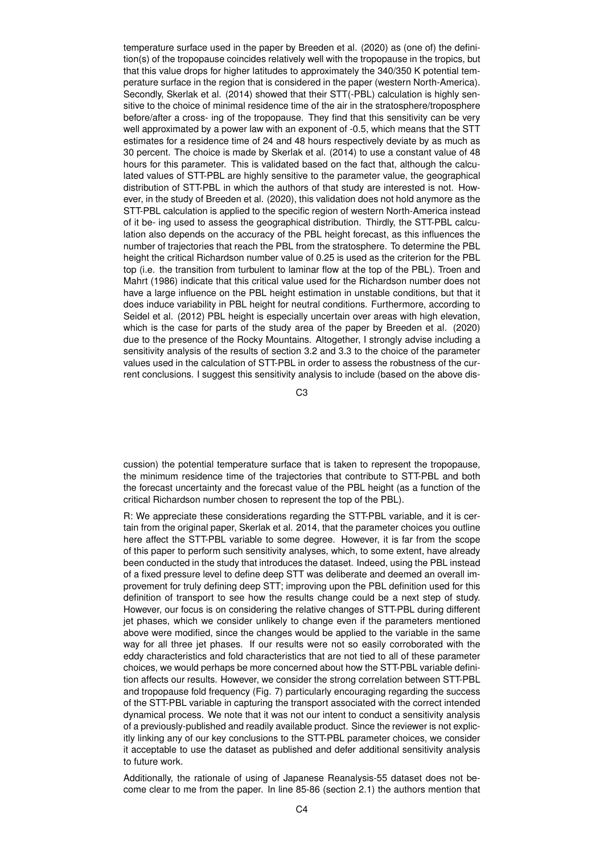temperature surface used in the paper by Breeden et al. (2020) as (one of) the definition(s) of the tropopause coincides relatively well with the tropopause in the tropics, but that this value drops for higher latitudes to approximately the 340/350 K potential temperature surface in the region that is considered in the paper (western North-America). Secondly, Skerlak et al. (2014) showed that their STT(-PBL) calculation is highly sensitive to the choice of minimal residence time of the air in the stratosphere/troposphere before/after a cross- ing of the tropopause. They find that this sensitivity can be very well approximated by a power law with an exponent of -0.5, which means that the STT estimates for a residence time of 24 and 48 hours respectively deviate by as much as 30 percent. The choice is made by Skerlak et al. (2014) to use a constant value of 48 hours for this parameter. This is validated based on the fact that, although the calculated values of STT-PBL are highly sensitive to the parameter value, the geographical distribution of STT-PBL in which the authors of that study are interested is not. However, in the study of Breeden et al. (2020), this validation does not hold anymore as the STT-PBL calculation is applied to the specific region of western North-America instead of it be- ing used to assess the geographical distribution. Thirdly, the STT-PBL calculation also depends on the accuracy of the PBL height forecast, as this influences the number of trajectories that reach the PBL from the stratosphere. To determine the PBL height the critical Richardson number value of 0.25 is used as the criterion for the PBL top (i.e. the transition from turbulent to laminar flow at the top of the PBL). Troen and Mahrt (1986) indicate that this critical value used for the Richardson number does not have a large influence on the PBL height estimation in unstable conditions, but that it does induce variability in PBL height for neutral conditions. Furthermore, according to Seidel et al. (2012) PBL height is especially uncertain over areas with high elevation, which is the case for parts of the study area of the paper by Breeden et al. (2020) due to the presence of the Rocky Mountains. Altogether, I strongly advise including a sensitivity analysis of the results of section 3.2 and 3.3 to the choice of the parameter values used in the calculation of STT-PBL in order to assess the robustness of the current conclusions. I suggest this sensitivity analysis to include (based on the above dis-

C3

cussion) the potential temperature surface that is taken to represent the tropopause, the minimum residence time of the trajectories that contribute to STT-PBL and both the forecast uncertainty and the forecast value of the PBL height (as a function of the critical Richardson number chosen to represent the top of the PBL).

R: We appreciate these considerations regarding the STT-PBL variable, and it is certain from the original paper, Skerlak et al. 2014, that the parameter choices you outline here affect the STT-PBL variable to some degree. However, it is far from the scope of this paper to perform such sensitivity analyses, which, to some extent, have already been conducted in the study that introduces the dataset. Indeed, using the PBL instead of a fixed pressure level to define deep STT was deliberate and deemed an overall improvement for truly defining deep STT; improving upon the PBL definition used for this definition of transport to see how the results change could be a next step of study. However, our focus is on considering the relative changes of STT-PBL during different jet phases, which we consider unlikely to change even if the parameters mentioned above were modified, since the changes would be applied to the variable in the same way for all three jet phases. If our results were not so easily corroborated with the eddy characteristics and fold characteristics that are not tied to all of these parameter choices, we would perhaps be more concerned about how the STT-PBL variable definition affects our results. However, we consider the strong correlation between STT-PBL and tropopause fold frequency (Fig. 7) particularly encouraging regarding the success of the STT-PBL variable in capturing the transport associated with the correct intended dynamical process. We note that it was not our intent to conduct a sensitivity analysis of a previously-published and readily available product. Since the reviewer is not explicitly linking any of our key conclusions to the STT-PBL parameter choices, we consider it acceptable to use the dataset as published and defer additional sensitivity analysis to future work.

Additionally, the rationale of using of Japanese Reanalysis-55 dataset does not become clear to me from the paper. In line 85-86 (section 2.1) the authors mention that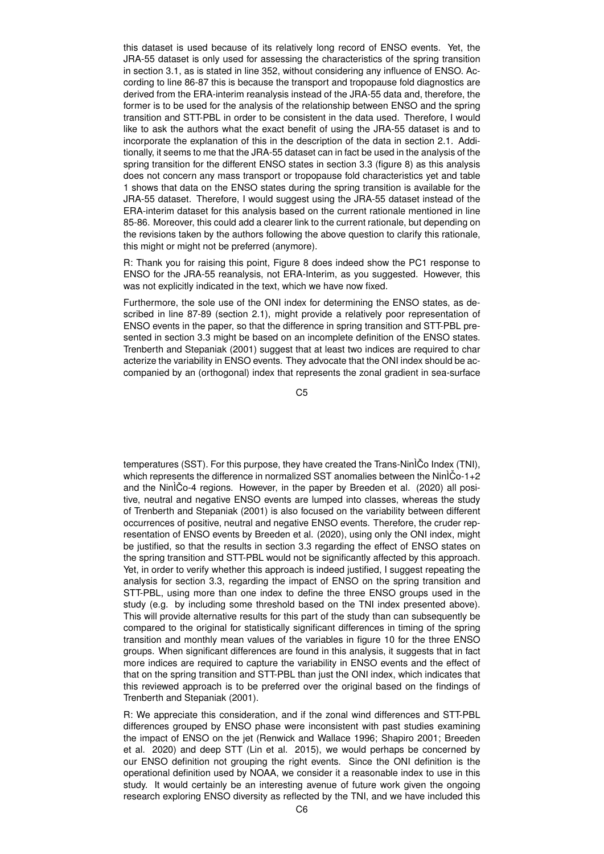this dataset is used because of its relatively long record of ENSO events. Yet, the JRA-55 dataset is only used for assessing the characteristics of the spring transition in section 3.1, as is stated in line 352, without considering any influence of ENSO. According to line 86-87 this is because the transport and tropopause fold diagnostics are derived from the ERA-interim reanalysis instead of the JRA-55 data and, therefore, the former is to be used for the analysis of the relationship between ENSO and the spring transition and STT-PBL in order to be consistent in the data used. Therefore, I would like to ask the authors what the exact benefit of using the JRA-55 dataset is and to incorporate the explanation of this in the description of the data in section 2.1. Additionally, it seems to me that the JRA-55 dataset can in fact be used in the analysis of the spring transition for the different ENSO states in section 3.3 (figure 8) as this analysis does not concern any mass transport or tropopause fold characteristics yet and table 1 shows that data on the ENSO states during the spring transition is available for the JRA-55 dataset. Therefore, I would suggest using the JRA-55 dataset instead of the ERA-interim dataset for this analysis based on the current rationale mentioned in line 85-86. Moreover, this could add a clearer link to the current rationale, but depending on the revisions taken by the authors following the above question to clarify this rationale, this might or might not be preferred (anymore).

R: Thank you for raising this point, Figure 8 does indeed show the PC1 response to ENSO for the JRA-55 reanalysis, not ERA-Interim, as you suggested. However, this was not explicitly indicated in the text, which we have now fixed.

Furthermore, the sole use of the ONI index for determining the ENSO states, as described in line 87-89 (section 2.1), might provide a relatively poor representation of ENSO events in the paper, so that the difference in spring transition and STT-PBL presented in section 3.3 might be based on an incomplete definition of the ENSO states. Trenberth and Stepaniak (2001) suggest that at least two indices are required to char acterize the variability in ENSO events. They advocate that the ONI index should be accompanied by an (orthogonal) index that represents the zonal gradient in sea-surface

C5

temperatures (SST). For this purpose, they have created the Trans-Nin $\tilde{C}$ o Index (TNI), which represents the difference in normalized SST anomalies between the Nin $\tilde{C}o-1+2$ and the NinÌCo-4 regions. However, in the paper by Breeden et al. (2020) all positive, neutral and negative ENSO events are lumped into classes, whereas the study of Trenberth and Stepaniak (2001) is also focused on the variability between different occurrences of positive, neutral and negative ENSO events. Therefore, the cruder representation of ENSO events by Breeden et al. (2020), using only the ONI index, might be justified, so that the results in section 3.3 regarding the effect of ENSO states on the spring transition and STT-PBL would not be significantly affected by this approach. Yet, in order to verify whether this approach is indeed justified, I suggest repeating the analysis for section 3.3, regarding the impact of ENSO on the spring transition and STT-PBL, using more than one index to define the three ENSO groups used in the study (e.g. by including some threshold based on the TNI index presented above). This will provide alternative results for this part of the study than can subsequently be compared to the original for statistically significant differences in timing of the spring transition and monthly mean values of the variables in figure 10 for the three ENSO groups. When significant differences are found in this analysis, it suggests that in fact more indices are required to capture the variability in ENSO events and the effect of that on the spring transition and STT-PBL than just the ONI index, which indicates that this reviewed approach is to be preferred over the original based on the findings of Trenberth and Stepaniak (2001).

R: We appreciate this consideration, and if the zonal wind differences and STT-PBL differences grouped by ENSO phase were inconsistent with past studies examining the impact of ENSO on the jet (Renwick and Wallace 1996; Shapiro 2001; Breeden et al. 2020) and deep STT (Lin et al. 2015), we would perhaps be concerned by our ENSO definition not grouping the right events. Since the ONI definition is the operational definition used by NOAA, we consider it a reasonable index to use in this study. It would certainly be an interesting avenue of future work given the ongoing research exploring ENSO diversity as reflected by the TNI, and we have included this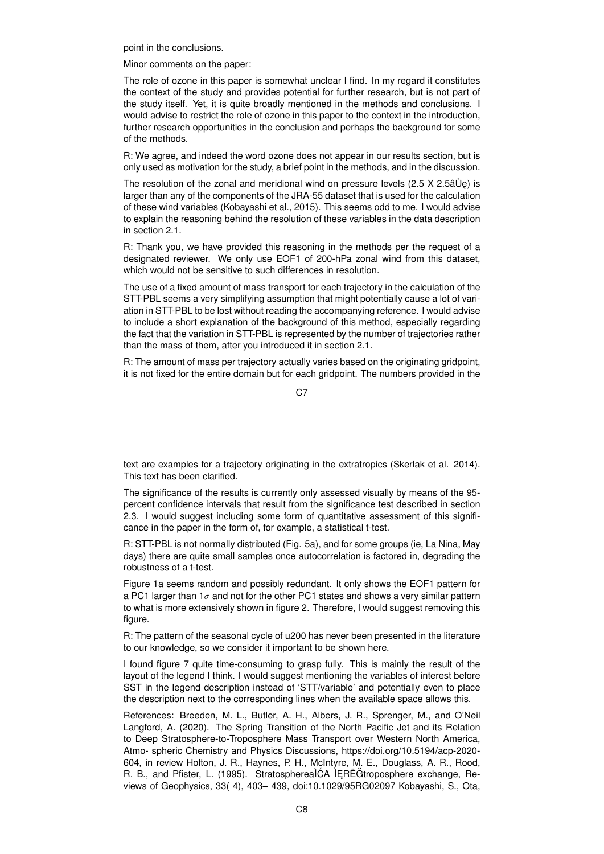point in the conclusions.

Minor comments on the paper:

The role of ozone in this paper is somewhat unclear I find. In my regard it constitutes the context of the study and provides potential for further research, but is not part of the study itself. Yet, it is quite broadly mentioned in the methods and conclusions. I would advise to restrict the role of ozone in this paper to the context in the introduction, further research opportunities in the conclusion and perhaps the background for some of the methods.

R: We agree, and indeed the word ozone does not appear in our results section, but is only used as motivation for the study, a brief point in the methods, and in the discussion.

The resolution of the zonal and meridional wind on pressure levels  $(2.5 \times 2.5 \text{ \AA} \cdot \text{C})$  is larger than any of the components of the JRA-55 dataset that is used for the calculation of these wind variables (Kobayashi et al., 2015). This seems odd to me. I would advise to explain the reasoning behind the resolution of these variables in the data description in section 2.1.

R: Thank you, we have provided this reasoning in the methods per the request of a designated reviewer. We only use EOF1 of 200-hPa zonal wind from this dataset, which would not be sensitive to such differences in resolution.

The use of a fixed amount of mass transport for each trajectory in the calculation of the STT-PBL seems a very simplifying assumption that might potentially cause a lot of variation in STT-PBL to be lost without reading the accompanying reference. I would advise to include a short explanation of the background of this method, especially regarding the fact that the variation in STT-PBL is represented by the number of trajectories rather than the mass of them, after you introduced it in section 2.1.

R: The amount of mass per trajectory actually varies based on the originating gridpoint, it is not fixed for the entire domain but for each gridpoint. The numbers provided in the

C7

text are examples for a trajectory originating in the extratropics (Skerlak et al. 2014). This text has been clarified.

The significance of the results is currently only assessed visually by means of the 95 percent confidence intervals that result from the significance test described in section 2.3. I would suggest including some form of quantitative assessment of this significance in the paper in the form of, for example, a statistical t-test.

R: STT-PBL is not normally distributed (Fig. 5a), and for some groups (ie, La Nina, May days) there are quite small samples once autocorrelation is factored in, degrading the robustness of a t-test.

Figure 1a seems random and possibly redundant. It only shows the EOF1 pattern for a PC1 larger than  $1\sigma$  and not for the other PC1 states and shows a very similar pattern to what is more extensively shown in figure 2. Therefore, I would suggest removing this figure.

R: The pattern of the seasonal cycle of u200 has never been presented in the literature to our knowledge, so we consider it important to be shown here.

I found figure 7 quite time-consuming to grasp fully. This is mainly the result of the layout of the legend I think. I would suggest mentioning the variables of interest before SST in the legend description instead of 'STT/variable' and potentially even to place the description next to the corresponding lines when the available space allows this.

References: Breeden, M. L., Butler, A. H., Albers, J. R., Sprenger, M., and O'Neil Langford, A. (2020). The Spring Transition of the North Pacific Jet and its Relation to Deep Stratosphere-to-Troposphere Mass Transport over Western North America, Atmo- spheric Chemistry and Physics Discussions, https://doi.org/10.5194/acp-2020- 604, in review Holton, J. R., Haynes, P. H., McIntyre, M. E., Douglass, A. R., Rood, R. B., and Pfister, L. (1995). StratospherealCA IERË Gtroposphere exchange, Reviews of Geophysics, 33( 4), 403– 439, doi:10.1029/95RG02097 Kobayashi, S., Ota,